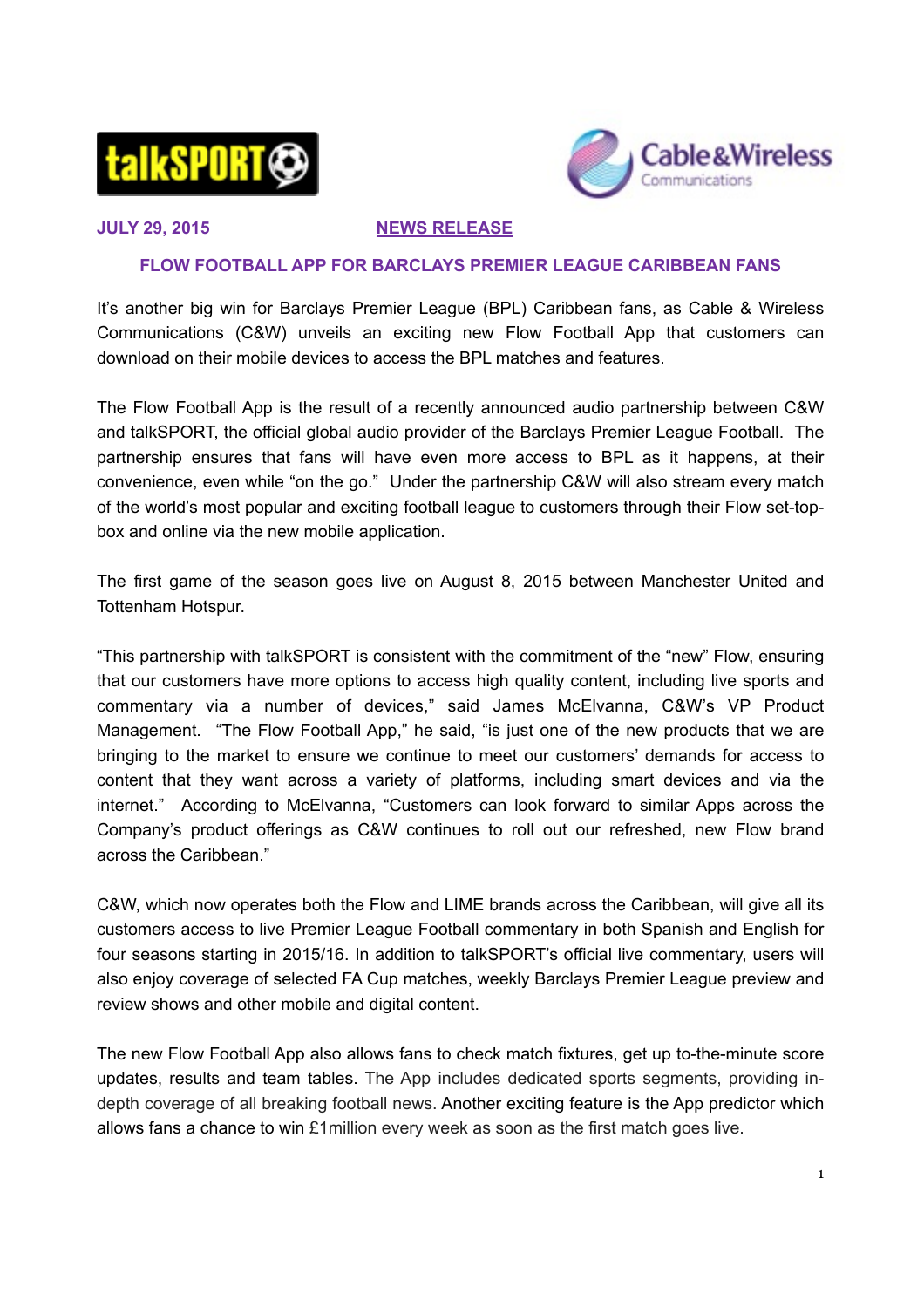



## **JULY 29, 2015 NEWS RELEASE**

## **FLOW FOOTBALL APP FOR BARCLAYS PREMIER LEAGUE CARIBBEAN FANS**

It's another big win for Barclays Premier League (BPL) Caribbean fans, as Cable & Wireless Communications (C&W) unveils an exciting new Flow Football App that customers can download on their mobile devices to access the BPL matches and features.

The Flow Football App is the result of a recently announced audio partnership between C&W and talkSPORT, the official global audio provider of the Barclays Premier League Football. The partnership ensures that fans will have even more access to BPL as it happens, at their convenience, even while "on the go." Under the partnership C&W will also stream every match of the world's most popular and exciting football league to customers through their Flow set-topbox and online via the new mobile application.

The first game of the season goes live on August 8, 2015 between Manchester United and Tottenham Hotspur.

"This partnership with talkSPORT is consistent with the commitment of the "new" Flow, ensuring that our customers have more options to access high quality content, including live sports and commentary via a number of devices," said James McElvanna, C&W's VP Product Management. "The Flow Football App," he said, "is just one of the new products that we are bringing to the market to ensure we continue to meet our customers' demands for access to content that they want across a variety of platforms, including smart devices and via the internet." According to McElvanna, "Customers can look forward to similar Apps across the Company's product offerings as C&W continues to roll out our refreshed, new Flow brand across the Caribbean."

C&W, which now operates both the Flow and LIME brands across the Caribbean, will give all its customers access to live Premier League Football commentary in both Spanish and English for four seasons starting in 2015/16. In addition to talkSPORT's official live commentary, users will also enjoy coverage of selected FA Cup matches, weekly Barclays Premier League preview and review shows and other mobile and digital content.

The new Flow Football App also allows fans to check match fixtures, get up to-the-minute score updates, results and team tables. The App includes dedicated sports segments, providing indepth coverage of all breaking football news. Another exciting feature is the App predictor which allows fans a chance to win £1million every week as soon as the first match goes live.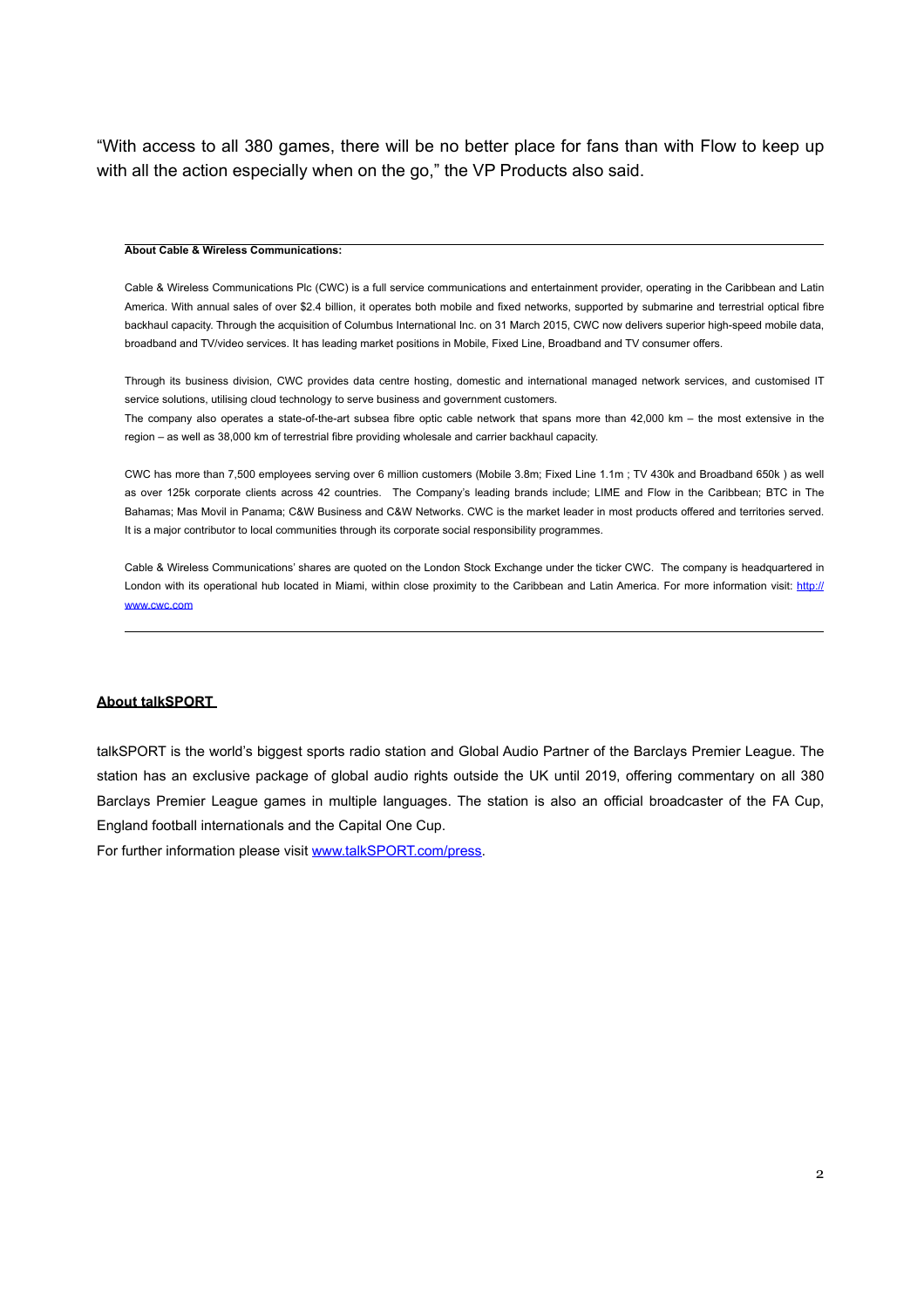"With access to all 380 games, there will be no better place for fans than with Flow to keep up with all the action especially when on the go," the VP Products also said.

#### **About Cable & Wireless Communications:**

Cable & Wireless Communications Plc (CWC) is a full service communications and entertainment provider, operating in the Caribbean and Latin America. With annual sales of over \$2.4 billion, it operates both mobile and fixed networks, supported by submarine and terrestrial optical fibre backhaul capacity. Through the acquisition of Columbus International Inc. on 31 March 2015, CWC now delivers superior high-speed mobile data, broadband and TV/video services. It has leading market positions in Mobile, Fixed Line, Broadband and TV consumer offers.

Through its business division, CWC provides data centre hosting, domestic and international managed network services, and customised IT service solutions, utilising cloud technology to serve business and government customers.

The company also operates a state-of-the-art subsea fibre optic cable network that spans more than 42,000 km – the most extensive in the region – as well as 38,000 km of terrestrial fibre providing wholesale and carrier backhaul capacity.

CWC has more than 7,500 employees serving over 6 million customers (Mobile 3.8m; Fixed Line 1.1m ; TV 430k and Broadband 650k ) as well as over 125k corporate clients across 42 countries. The Company's leading brands include; LIME and Flow in the Caribbean; BTC in The Bahamas; Mas Movil in Panama; C&W Business and C&W Networks. CWC is the market leader in most products offered and territories served. It is a major contributor to local communities through its corporate social responsibility programmes.

Cable & Wireless Communications' shares are quoted on the London Stock Exchange under the ticker CWC. The company is headquartered in [London with its operational hub located in Miami, within close proximity to the Caribbean and Latin America. For more information visit: http://](http://www.cwc.com) www.cwc.com

### **About talkSPORT**

talkSPORT is the world's biggest sports radio station and Global Audio Partner of the Barclays Premier League. The station has an exclusive package of global audio rights outside the UK until 2019, offering commentary on all 380 Barclays Premier League games in multiple languages. The station is also an official broadcaster of the FA Cup, England football internationals and the Capital One Cup.

For further information please visit [www.talkSPORT.com/press](http://www.talkSPORT.com/press).